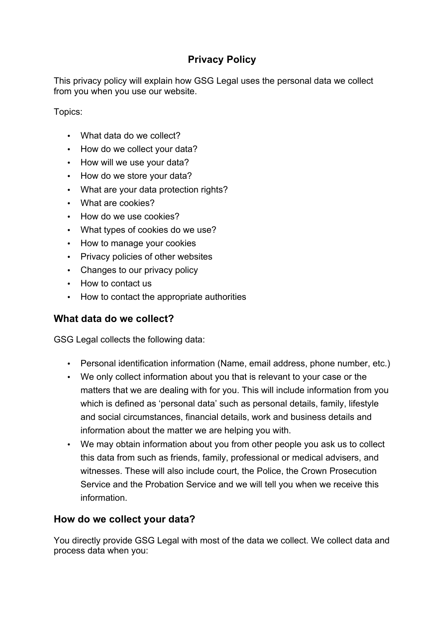# **Privacy Policy**

This privacy policy will explain how GSG Legal uses the personal data we collect from you when you use our website.

Topics:

- What data do we collect?
- How do we collect your data?
- How will we use your data?
- How do we store your data?
- What are your data protection rights?
- What are cookies?
- How do we use cookies?
- What types of cookies do we use?
- How to manage your cookies
- Privacy policies of other websites
- Changes to our privacy policy
- How to contact us
- How to contact the appropriate authorities

## **What data do we collect?**

GSG Legal collects the following data:

- Personal identification information (Name, email address, phone number, etc.)
- We only collect information about you that is relevant to your case or the matters that we are dealing with for you. This will include information from you which is defined as 'personal data' such as personal details, family, lifestyle and social circumstances, financial details, work and business details and information about the matter we are helping you with.
- We may obtain information about you from other people you ask us to collect this data from such as friends, family, professional or medical advisers, and witnesses. These will also include court, the Police, the Crown Prosecution Service and the Probation Service and we will tell you when we receive this information.

## **How do we collect your data?**

You directly provide GSG Legal with most of the data we collect. We collect data and process data when you: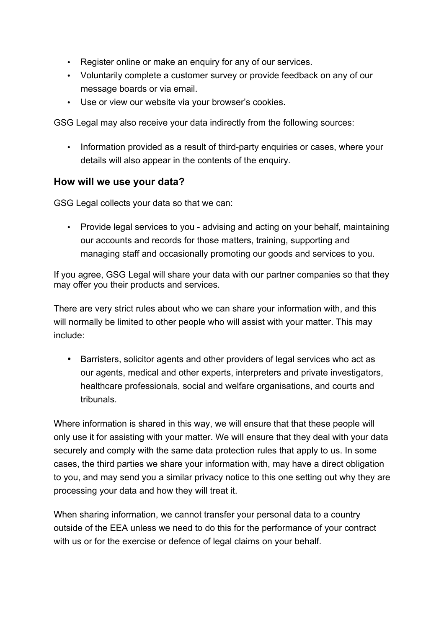- Register online or make an enquiry for any of our services.
- Voluntarily complete a customer survey or provide feedback on any of our message boards or via email.
- Use or view our website via your browser's cookies.

GSG Legal may also receive your data indirectly from the following sources:

• Information provided as a result of third-party enquiries or cases, where your details will also appear in the contents of the enquiry.

## **How will we use your data?**

GSG Legal collects your data so that we can:

• Provide legal services to you - advising and acting on your behalf, maintaining our accounts and records for those matters, training, supporting and managing staff and occasionally promoting our goods and services to you.

If you agree, GSG Legal will share your data with our partner companies so that they may offer you their products and services.

There are very strict rules about who we can share your information with, and this will normally be limited to other people who will assist with your matter. This may include:

• Barristers, solicitor agents and other providers of legal services who act as our agents, medical and other experts, interpreters and private investigators, healthcare professionals, social and welfare organisations, and courts and tribunals.

Where information is shared in this way, we will ensure that that these people will only use it for assisting with your matter. We will ensure that they deal with your data securely and comply with the same data protection rules that apply to us. In some cases, the third parties we share your information with, may have a direct obligation to you, and may send you a similar privacy notice to this one setting out why they are processing your data and how they will treat it.

When sharing information, we cannot transfer your personal data to a country outside of the EEA unless we need to do this for the performance of your contract with us or for the exercise or defence of legal claims on your behalf.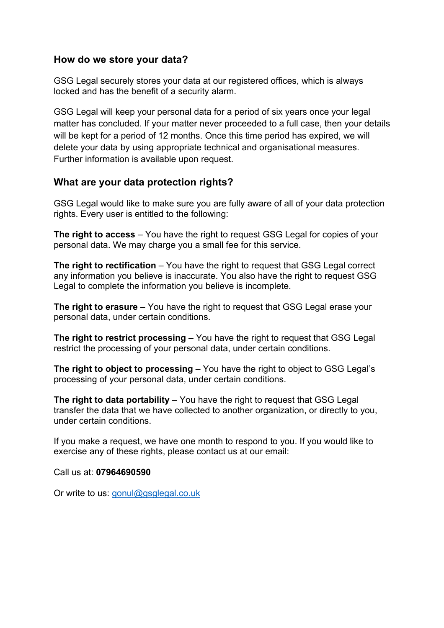#### **How do we store your data?**

GSG Legal securely stores your data at our registered offices, which is always locked and has the benefit of a security alarm.

GSG Legal will keep your personal data for a period of six years once your legal matter has concluded. If your matter never proceeded to a full case, then your details will be kept for a period of 12 months. Once this time period has expired, we will delete your data by using appropriate technical and organisational measures. Further information is available upon request.

## **What are your data protection rights?**

GSG Legal would like to make sure you are fully aware of all of your data protection rights. Every user is entitled to the following:

**The right to access** – You have the right to request GSG Legal for copies of your personal data. We may charge you a small fee for this service.

**The right to rectification** – You have the right to request that GSG Legal correct any information you believe is inaccurate. You also have the right to request GSG Legal to complete the information you believe is incomplete.

**The right to erasure** – You have the right to request that GSG Legal erase your personal data, under certain conditions.

**The right to restrict processing** – You have the right to request that GSG Legal restrict the processing of your personal data, under certain conditions.

**The right to object to processing** – You have the right to object to GSG Legal's processing of your personal data, under certain conditions.

**The right to data portability** – You have the right to request that GSG Legal transfer the data that we have collected to another organization, or directly to you, under certain conditions.

If you make a request, we have one month to respond to you. If you would like to exercise any of these rights, please contact us at our email:

Call us at: **07964690590**

Or write to us: gonul@gsglegal.co.uk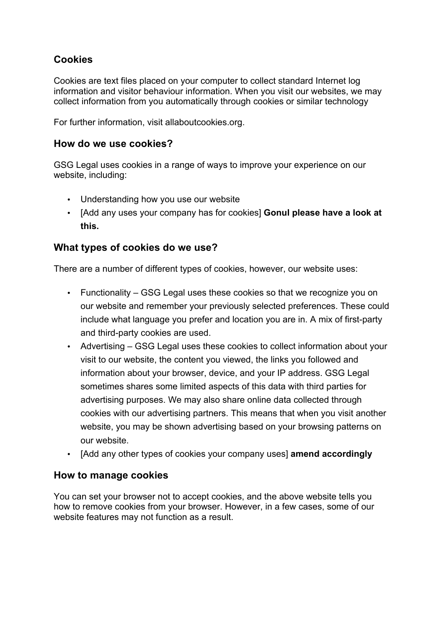# **Cookies**

Cookies are text files placed on your computer to collect standard Internet log information and visitor behaviour information. When you visit our websites, we may collect information from you automatically through cookies or similar technology

For further information, visit allaboutcookies.org.

#### **How do we use cookies?**

GSG Legal uses cookies in a range of ways to improve your experience on our website, including:

- Understanding how you use our website
- [Add any uses your company has for cookies] **Gonul please have a look at this.**

## **What types of cookies do we use?**

There are a number of different types of cookies, however, our website uses:

- Functionality GSG Legal uses these cookies so that we recognize you on our website and remember your previously selected preferences. These could include what language you prefer and location you are in. A mix of first-party and third-party cookies are used.
- Advertising GSG Legal uses these cookies to collect information about your visit to our website, the content you viewed, the links you followed and information about your browser, device, and your IP address. GSG Legal sometimes shares some limited aspects of this data with third parties for advertising purposes. We may also share online data collected through cookies with our advertising partners. This means that when you visit another website, you may be shown advertising based on your browsing patterns on our website.
- [Add any other types of cookies your company uses] **amend accordingly**

#### **How to manage cookies**

You can set your browser not to accept cookies, and the above website tells you how to remove cookies from your browser. However, in a few cases, some of our website features may not function as a result.